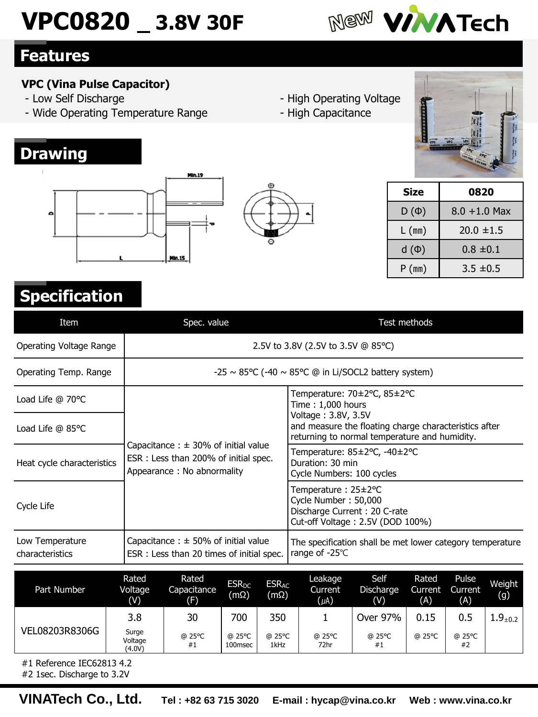# **VPC0820 \_ 3.8V 30F**



### **Features**

**Drawing**

#### **VPC (Vina Pulse Capacitor)**

- Low Self Discharge
- Wide Operating Temperature Range

 $n.19$ 

**Min.15** 

- High Operating Voltage
- High Capacitance



| Size      | 0820            |
|-----------|-----------------|
| $D(\Phi)$ | $8.0 + 1.0$ Max |
| $L$ (mm)  | $20.0 \pm 1.5$  |
| $d(\Phi)$ | $0.8 \pm 0.1$   |
| P(mm)     | $3.5 \pm 0.5$   |

## **Specification**

| Item                               | Spec. value<br>Test methods                                                                                     |                                                                                                                               |  |  |  |  |  |
|------------------------------------|-----------------------------------------------------------------------------------------------------------------|-------------------------------------------------------------------------------------------------------------------------------|--|--|--|--|--|
| Operating Voltage Range            |                                                                                                                 | 2.5V to 3.8V (2.5V to 3.5V @ 85°C)                                                                                            |  |  |  |  |  |
| Operating Temp. Range              |                                                                                                                 | $-25 \sim 85^{\circ}$ C (-40 $\sim 85^{\circ}$ C @ in Li/SOCL2 battery system)                                                |  |  |  |  |  |
| Load Life $@70°C$                  |                                                                                                                 | Temperature: 70±2°C, 85±2°C<br>Time: 1,000 hours                                                                              |  |  |  |  |  |
| Load Life $@$ 85 $°C$              |                                                                                                                 | Voltage: 3.8V, 3.5V<br>and measure the floating charge characteristics after<br>returning to normal temperature and humidity. |  |  |  |  |  |
| Heat cycle characteristics         | Capacitance : $\pm$ 30% of initial value<br>ESR : Less than 200% of initial spec.<br>Appearance: No abnormality | Temperature: 85±2°C, -40±2°C<br>Duration: 30 min<br>Cycle Numbers: 100 cycles                                                 |  |  |  |  |  |
| Cycle Life                         |                                                                                                                 | Temperature: 25±2°C<br>Cycle Number: 50,000<br>Discharge Current: 20 C-rate<br>Cut-off Voltage: 2.5V (DOD 100%)               |  |  |  |  |  |
| Low Temperature<br>characteristics | Capacitance : $\pm$ 50% of initial value<br>ESR: Less than 20 times of initial spec.                            | The specification shall be met lower category temperature<br>range of -25℃                                                    |  |  |  |  |  |
|                                    | Rated<br>Rated<br>$FSR_{DC}$<br>$FSR_{AC}$                                                                      | Leakage<br>Self<br>Rated<br>Pulse<br>Weiaht                                                                                   |  |  |  |  |  |

**ጡ** 

| Part Number    | Rated<br>Voltage<br>(V)    | Rated<br>Capacitance<br>(F) | <b>ESR<sub>DC</sub></b><br>(mΩ) | <b>ESRAC</b><br>$(m\Omega)$ | Leakage<br>Current<br>$(\mu A)$ | Self<br>Discharge<br>(V) | Rated<br>Current<br>(A) | Pulse<br>Current<br>(A) | Weight<br>(g)  |
|----------------|----------------------------|-----------------------------|---------------------------------|-----------------------------|---------------------------------|--------------------------|-------------------------|-------------------------|----------------|
|                | 3.8                        | 30                          | 700                             | 350                         |                                 | Over 97%                 | 0.15                    | 0.5                     | $1.9_{\pm0.2}$ |
| VEL08203R8306G | Surge<br>Voltage<br>(4.0V) | @ 25°C<br>#1                | @ 25°C<br>100msec               | @ 25°C<br>1kHz              | @ 25°C<br>72hr                  | @ 25°C<br>#1             | @ 25°C                  | @ 25°C<br>#2            |                |

#1 Reference IEC62813 4.2

#2 1sec. Discharge to 3.2V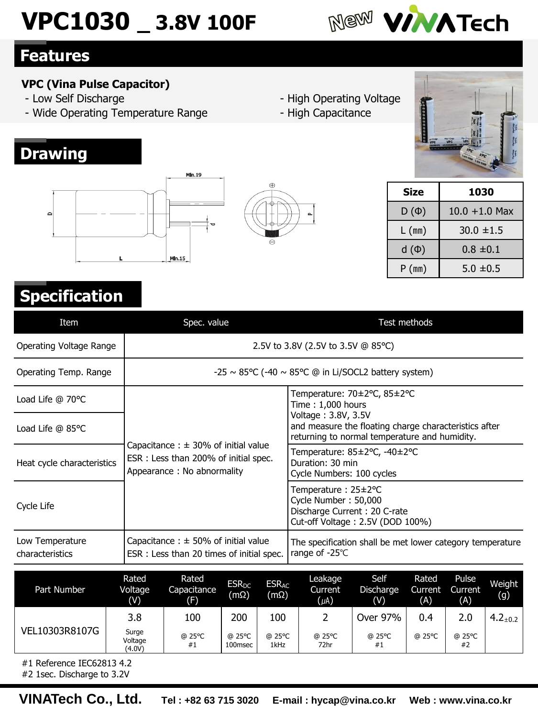# **VPC1030 \_ 3.8V 100F**

**Min.19** 

 $Min.15$ 



### **Features**

**Drawing**

 $\sim$ 

#### **VPC (Vina Pulse Capacitor)**

- Low Self Discharge
- Wide Operating Temperature Range
- High Operating Voltage
- High Capacitance

م



| Size      | 1030             |
|-----------|------------------|
| $D(\Phi)$ | $10.0 + 1.0$ Max |
| $L$ (mm)  | $30.0 \pm 1.5$   |
| $d(\Phi)$ | $0.8 \pm 0.1$    |
| P(mm)     | $5.0 \pm 0.5$    |

## **Specification**

| Item                               | Spec. value                                                                                                     | Test methods                                                                                                                  |  |  |  |  |  |  |
|------------------------------------|-----------------------------------------------------------------------------------------------------------------|-------------------------------------------------------------------------------------------------------------------------------|--|--|--|--|--|--|
| Operating Voltage Range            | 2.5V to 3.8V (2.5V to 3.5V @ 85°C)                                                                              |                                                                                                                               |  |  |  |  |  |  |
| Operating Temp. Range              |                                                                                                                 | $-25 \sim 85^{\circ}$ C (-40 $\sim 85^{\circ}$ C @ in Li/SOCL2 battery system)                                                |  |  |  |  |  |  |
| Load Life @ 70°C                   |                                                                                                                 | Temperature: 70±2°C, 85±2°C<br>Time: 1,000 hours                                                                              |  |  |  |  |  |  |
| Load Life $@$ 85 $°C$              |                                                                                                                 | Voltage: 3.8V, 3.5V<br>and measure the floating charge characteristics after<br>returning to normal temperature and humidity. |  |  |  |  |  |  |
| Heat cycle characteristics         | Capacitance : $\pm$ 30% of initial value<br>ESR: Less than 200% of initial spec.<br>Appearance : No abnormality | Temperature: 85±2°C, -40±2°C<br>Duration: 30 min<br>Cycle Numbers: 100 cycles                                                 |  |  |  |  |  |  |
| Cycle Life                         |                                                                                                                 | Temperature: 25±2°C<br>Cycle Number: 50,000<br>Discharge Current: 20 C-rate<br>Cut-off Voltage: 2.5V (DOD 100%)               |  |  |  |  |  |  |
| Low Temperature<br>characteristics | Capacitance : $\pm$ 50% of initial value<br>ESR : Less than 20 times of initial spec.                           | The specification shall be met lower category temperature<br>range of -25℃                                                    |  |  |  |  |  |  |
| Part Number                        | Rated<br>Rated<br><b>ESR<sub>DC</sub></b><br><b>ESRAC</b><br>Voltage<br>Canacitance                             | Self<br>Leakage<br>Rated<br>Pulse<br>Weight<br>Diccharge<br>Currant<br>$C$ urront<br>Curront                                  |  |  |  |  |  |  |

 $\oplus$ 

| Part Number    | Rated<br>Voltage<br>(V)                                                                                                       | Rated<br>Capacitance<br>(F) | <b>ESR<sub>DC</sub></b><br>$(m\Omega)$ | <b>ESRAC</b><br>$(m\Omega)$ | Leakage<br>Current<br>$(\mu A)$ | Self<br>Discharge<br>(V) | Rated<br>Current<br>(A) | Pulse<br>Current<br>(A) | Weight<br>(g)   |
|----------------|-------------------------------------------------------------------------------------------------------------------------------|-----------------------------|----------------------------------------|-----------------------------|---------------------------------|--------------------------|-------------------------|-------------------------|-----------------|
|                | 3.8                                                                                                                           | 100                         | 200                                    | 100                         |                                 | Over 97%                 | 0.4                     | 2.0                     | $4.2_{\pm 0.2}$ |
| VEL10303R8107G | Surge<br>@ 25°C<br>@ 25°C<br>@ 25°C<br>@ 25°C<br>@ 25°C<br>@ 25°C<br>Voltage<br>72hr<br>1kHz<br>100msec<br>#1<br>#1<br>(4.0V) | @ 25°C<br>#2                |                                        |                             |                                 |                          |                         |                         |                 |

#1 Reference IEC62813 4.2

#2 1sec. Discharge to 3.2V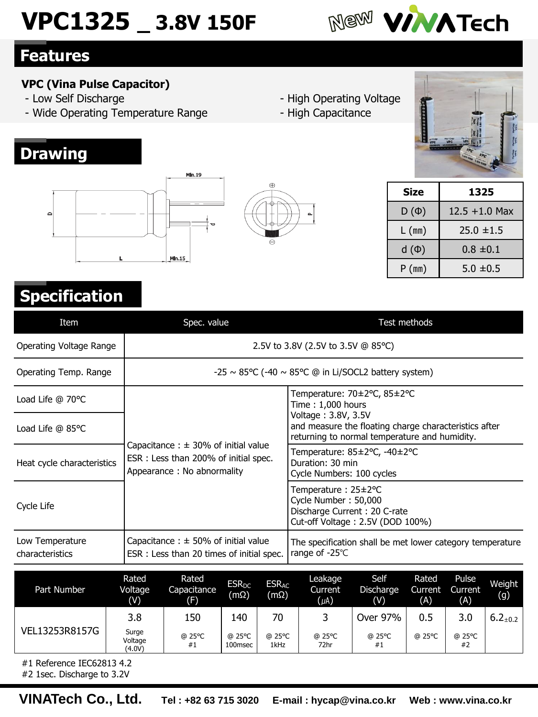# **VPC1325 \_ 3.8V 150F**

**Min.19** 

 $Min.15$ 



### **Features**

**Drawing**

 $\sim$ 

#### **VPC (Vina Pulse Capacitor)**

- Low Self Discharge
- Wide Operating Temperature Range
- High Operating Voltage
- High Capacitance

م



| Size      | 1325             |
|-----------|------------------|
| $D(\Phi)$ | $12.5 + 1.0$ Max |
| $L$ (mm)  | $25.0 \pm 1.5$   |
| $d(\Phi)$ | $0.8 \pm 0.1$    |
| P(mm)     | $5.0 \pm 0.5$    |

## **Specification**

| Item                               | Spec. value                                                                                                    | Test methods                                                                                                                  |
|------------------------------------|----------------------------------------------------------------------------------------------------------------|-------------------------------------------------------------------------------------------------------------------------------|
| Operating Voltage Range            |                                                                                                                | 2.5V to 3.8V (2.5V to 3.5V @ 85 °C)                                                                                           |
| Operating Temp. Range              |                                                                                                                | $-25 \sim 85^{\circ}$ C (-40 $\sim 85^{\circ}$ C @ in Li/SOCL2 battery system)                                                |
| Load Life @ 70°C                   |                                                                                                                | Temperature: 70±2°C, 85±2°C<br>Time: 1,000 hours                                                                              |
| Load Life @ 85°C                   |                                                                                                                | Voltage: 3.8V, 3.5V<br>and measure the floating charge characteristics after<br>returning to normal temperature and humidity. |
| Heat cycle characteristics         | Capacitance : $\pm$ 30% of initial value<br>ESR: Less than 200% of initial spec.<br>Appearance: No abnormality | Temperature: 85±2°C, -40±2°C<br>Duration: 30 min<br>Cycle Numbers: 100 cycles                                                 |
| Cycle Life                         |                                                                                                                | Temperature: 25±2°C<br>Cycle Number: 50,000<br>Discharge Current: 20 C-rate<br>Cut-off Voltage: 2.5V (DOD 100%)               |
| Low Temperature<br>characteristics | Capacitance: $\pm$ 50% of initial value<br>ESR: Less than 20 times of initial spec.                            | The specification shall be met lower category temperature<br>range of -25℃                                                    |
|                                    | <b>DALA</b><br><b>D-L-J</b>                                                                                    | $C - 1C$<br><b>Lander Art</b><br>$D - L - J$<br>$P = 1 - 1$                                                                   |

 $\oplus$ 

| Part Number    | Rated<br>Voltage<br>(V)    | Rated<br>Capacitance<br>(F) | <b>ESR<sub>DC</sub></b><br>$(m\Omega)$ | <b>ESRAC</b><br>(mΩ) | Leakage<br><b>Current</b><br>$(\mu A)$ | Self<br>Discharge<br>(V) | Rated<br>Current<br>(A) | Pulse<br>Current<br>(A) | Weight<br>(g)   |
|----------------|----------------------------|-----------------------------|----------------------------------------|----------------------|----------------------------------------|--------------------------|-------------------------|-------------------------|-----------------|
| VEL13253R8157G | 3.8                        | 150                         | 140                                    | 70                   |                                        | Over 97%                 | 0.5                     | 3.0                     | $6.2_{\pm 0.2}$ |
|                | Surge<br>Voltage<br>(4.0V) | @ 25°C<br>#1                | @ 25°C<br>100msec                      | @ 25°C<br>1kHz       | @ 25°C<br>72hr                         | @ 25°C<br>#1             | @ 25°C                  | @ 25°C<br>#2            |                 |

#1 Reference IEC62813 4.2

#2 1sec. Discharge to 3.2V

**VINATech Co., Ltd. Tel : +82 63 715 3020 E-mail : hycap@vina.co.kr Web : www.vina.co.kr**